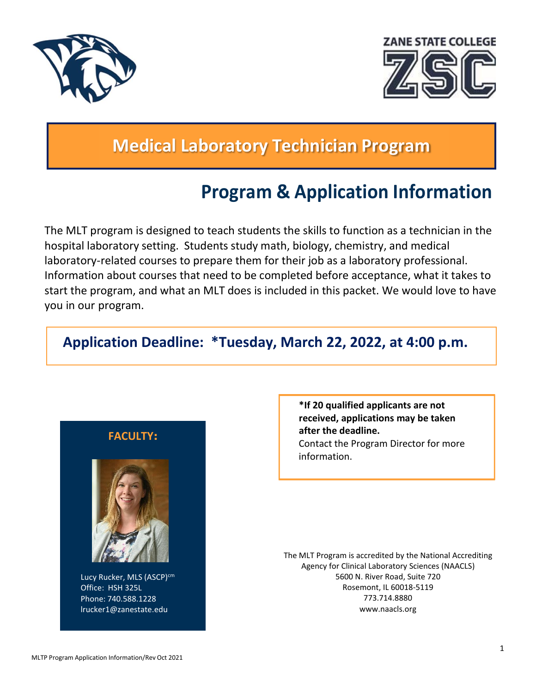



# **Medical Laboratory Technician Program**

# **Program & Application Information**

The MLT program is designed to teach students the skills to function as a technician in the hospital laboratory setting. Students study math, biology, chemistry, and medical laboratory-related courses to prepare them for their job as a laboratory professional. Information about courses that need to be completed before acceptance, what it takes to start the program, and what an MLT does is included in this packet. We would love to have you in our program.

# **Application Deadline: \*Tuesday, March 22, 2022, at 4:00 p.m.**

# **FACULTY:**



Lucy Rucker, MLS (ASCP)<sup>cm</sup> Office: HSH 325L Phone: 740.588.1228 [lrucker1@zanestate.edu](mailto:lrucker1@zanestate.edu)

**\*If 20 qualified applicants are not received, applications may be taken after the deadline.** Contact the Program Director for more information.

The MLT Program is accredited by the National Accrediting Agency for Clinical Laboratory Sciences (NAACLS) 5600 N. River Road, Suite 720 Rosemont, IL 60018‐5119 773.714.8880 [www.naacls.org](http://www.naacls.org/)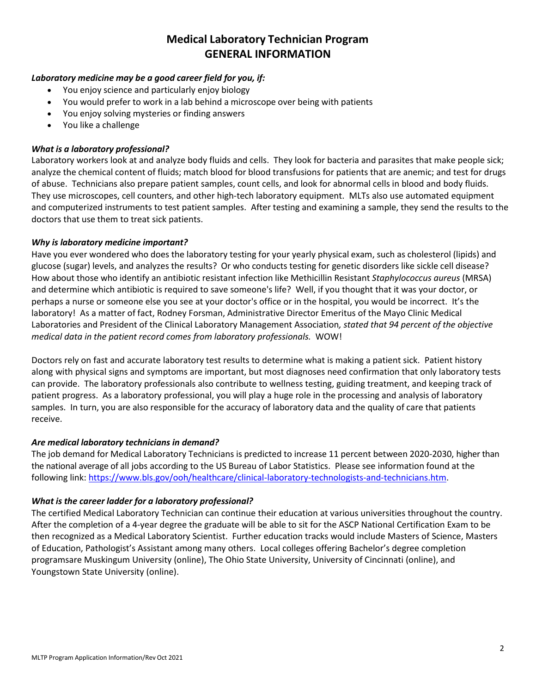# **Medical Laboratory Technician Program GENERAL INFORMATION**

## *Laboratory medicine may be a good career field for you, if:*

- You enjoy science and particularly enjoy biology
- You would prefer to work in a lab behind a microscope over being with patients
- You enjoy solving mysteries or finding answers
- You like a challenge

## *What is a laboratory professional?*

Laboratory workers look at and analyze body fluids and cells. They look for bacteria and parasites that make people sick; analyze the chemical content of fluids; match blood for blood transfusions for patients that are anemic; and test for drugs of abuse. Technicians also prepare patient samples, count cells, and look for abnormal cells in blood and body fluids. They use microscopes, cell counters, and other high-tech laboratory equipment. MLTs also use automated equipment and computerized instruments to test patient samples. After testing and examining a sample, they send the results to the doctors that use them to treat sick patients.

## *Why is laboratory medicine important?*

Have you ever wondered who does the laboratory testing for your yearly physical exam, such as cholesterol (lipids) and glucose (sugar) levels, and analyzes the results? Or who conducts testing for genetic disorders like sickle cell disease? How about those who identify an antibiotic resistant infection like Methicillin Resistant *Staphylococcus aureus* (MRSA) and determine which antibiotic is required to save someone's life? Well, if you thought that it was your doctor, or perhaps a nurse or someone else you see at your doctor's office or in the hospital, you would be incorrect. It's the laboratory! As a matter of fact, Rodney Forsman, Administrative Director Emeritus of the Mayo Clinic Medical Laboratories and President of the Clinical Laboratory Management Association*, stated that 94 percent of the objective medical data in the patient record comes from laboratory professionals.* WOW!

Doctors rely on fast and accurate laboratory test results to determine what is making a patient sick. Patient history along with physical signs and symptoms are important, but most diagnoses need confirmation that only laboratory tests can provide. The laboratory professionals also contribute to wellness testing, guiding treatment, and keeping track of patient progress. As a laboratory professional, you will play a huge role in the processing and analysis of laboratory samples. In turn, you are also responsible for the accuracy of laboratory data and the quality of care that patients receive.

## *Are medical laboratory technicians in demand?*

The job demand for Medical Laboratory Technicians is predicted to increase 11 percent between 2020‐2030, higher than the national average of all jobs according to the US Bureau of Labor Statistics. Please see information found at the following link: [https://www.bls.gov/ooh/healthcare/clinical-laboratory-technologists-and-technicians.htm.](https://www.bls.gov/ooh/healthcare/clinical-laboratory-technologists-and-technicians.htm)

## *What is the career ladder for a laboratory professional?*

The certified Medical Laboratory Technician can continue their education at various universities throughout the country. After the completion of a 4‐year degree the graduate will be able to sit for the ASCP National Certification Exam to be then recognized as a Medical Laboratory Scientist. Further education tracks would include Masters of Science, Masters of Education, Pathologist's Assistant among many others. Local colleges offering Bachelor's degree completion programsare Muskingum University (online), The Ohio State University, University of Cincinnati (online), and Youngstown State University (online).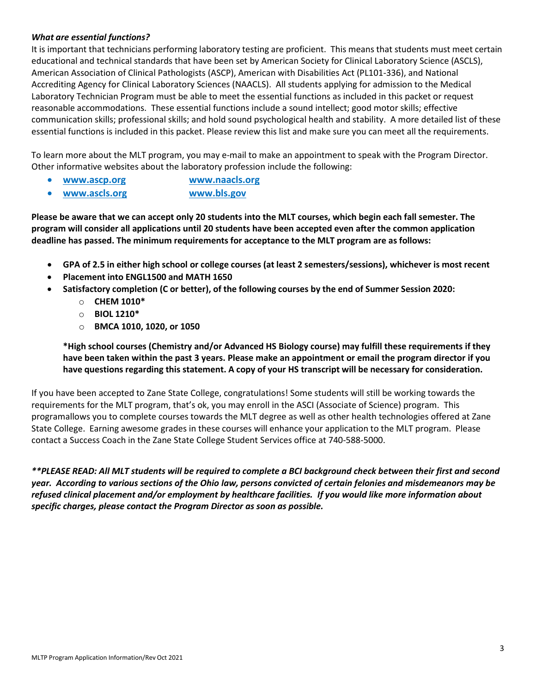## *What are essential functions?*

It is important that technicians performing laboratory testing are proficient. This means that students must meet certain educational and technical standards that have been set by American Society for Clinical Laboratory Science (ASCLS), American Association of Clinical Pathologists (ASCP), American with Disabilities Act (PL101‐336), and National Accrediting Agency for Clinical Laboratory Sciences (NAACLS). All students applying for admission to the Medical Laboratory Technician Program must be able to meet the essential functions as included in this packet or request reasonable accommodations. These essential functions include a sound intellect; good motor skills; effective communication skills; professional skills; and hold sound psychological health and stability. A more detailed list of these essential functions is included in this packet. Please review this list and make sure you can meet all the requirements.

To learn more about the MLT program, you may e‐mail to make an appointment to speak with the Program Director. Other informative websites about the laboratory profession include the following:

- **[www.ascp.org](http://www.ascp.org/) [www.naacls.org](http://www.naacls.org/)**
- **[www.ascls.org](http://www.ascls.org/) [www.bls.gov](http://www.bls.gov/)**

**Please be aware that we can accept only 20 students into the MLT courses, which begin each fall semester. The program will consider all applications until 20 students have been accepted even after the common application deadline has passed. The minimum requirements for acceptance to the MLT program are as follows:**

- GPA of 2.5 in either high school or college courses (at least 2 semesters/sessions), whichever is most recent
- **Placement into ENGL1500 and MATH 1650**
- **Satisfactory completion (C or better), of the following courses by the end of Summer Session 2020:**
	- o **CHEM 1010\***
	- o **BIOL 1210\***
	- o **BMCA 1010, 1020, or 1050**

**\*High school courses (Chemistry and/or Advanced HS Biology course) may fulfill these requirements if they have been taken within the past 3 years. Please make an appointment or email the program director if you have questions regarding this statement. A copy of your HS transcript will be necessary for consideration.**

If you have been accepted to Zane State College, congratulations! Some students will still be working towards the requirements for the MLT program, that's ok, you may enroll in the ASCI (Associate of Science) program. This programallows you to complete courses towards the MLT degree as well as other health technologies offered at Zane State College. Earning awesome grades in these courses will enhance your application to the MLT program. Please contact a Success Coach in the Zane State College Student Services office at 740‐588‐5000.

*\*\*PLEASE READ: All MLT students will be required to complete a BCI background check between their first and second year. According to various sections of the Ohio law, persons convicted of certain felonies and misdemeanors may be refused clinical placement and/or employment by healthcare facilities. If you would like more information about specific charges, please contact the Program Director as soon as possible.*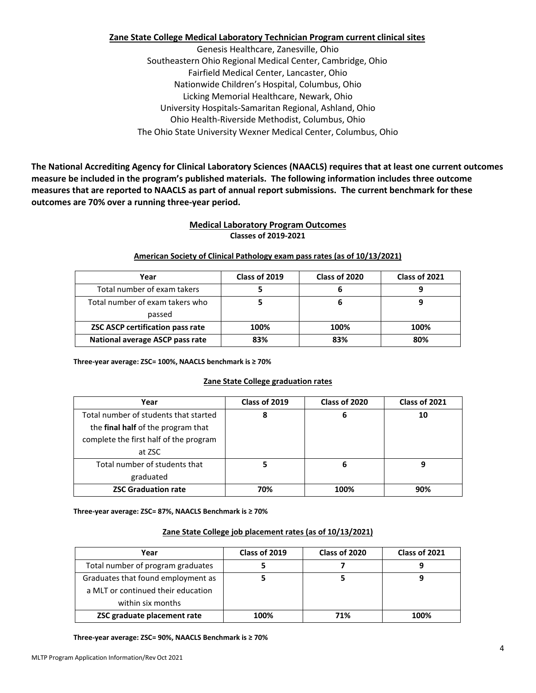## **Zane State College Medical Laboratory Technician Program current clinical sites**

Genesis Healthcare, Zanesville, Ohio Southeastern Ohio Regional Medical Center, Cambridge, Ohio Fairfield Medical Center, Lancaster, Ohio Nationwide Children's Hospital, Columbus, Ohio Licking Memorial Healthcare, Newark, Ohio University Hospitals‐Samaritan Regional, Ashland, Ohio Ohio Health‐Riverside Methodist, Columbus, Ohio The Ohio State University Wexner Medical Center, Columbus, Ohio

**The National Accrediting Agency for Clinical Laboratory Sciences (NAACLS) requires that at least one current outcomes measure be included in the program's published materials. The following information includes three outcome measures that are reported to NAACLS as part of annual report submissions. The current benchmark for these outcomes are 70% over a running three‐year period.**

### **Medical Laboratory Program Outcomes Classes of 2019‐2021**

#### **American Society of Clinical Pathology exam pass rates (as of 10/13/2021)**

| Year                                    | Class of 2019 | Class of 2020 | Class of 2021 |  |
|-----------------------------------------|---------------|---------------|---------------|--|
| Total number of exam takers             |               |               |               |  |
| Total number of exam takers who         |               |               |               |  |
| passed                                  |               |               |               |  |
| <b>ZSC ASCP certification pass rate</b> | 100%          | 100%          | 100%          |  |
| National average ASCP pass rate         | 83%           | 83%           | 80%           |  |

**Three‐year average: ZSC= 100%, NAACLS benchmark is ≥ 70%**

#### **Zane State College graduation rates**

| Year                                   | Class of 2019 | Class of 2020 | Class of 2021 |
|----------------------------------------|---------------|---------------|---------------|
| Total number of students that started  | 8             | 6             | 10            |
| the final half of the program that     |               |               |               |
| complete the first half of the program |               |               |               |
| at ZSC                                 |               |               |               |
| Total number of students that          | 5             | 6             | ω             |
| graduated                              |               |               |               |
| <b>ZSC Graduation rate</b>             | 70%           | 100%          | 90%           |

**Three-year average: ZSC= 87%, NAACLS Benchmark is ≥ 70%**

#### **Zane State College job placement rates (as of 10/13/2021)**

| Year                               | Class of 2019 | Class of 2020 | Class of 2021 |
|------------------------------------|---------------|---------------|---------------|
| Total number of program graduates  |               |               |               |
| Graduates that found employment as |               |               |               |
| a MLT or continued their education |               |               |               |
| within six months                  |               |               |               |
| ZSC graduate placement rate        | 100%          | 71%           | 100%          |

**Three-year average: ZSC= 90%, NAACLS Benchmark is ≥ 70%**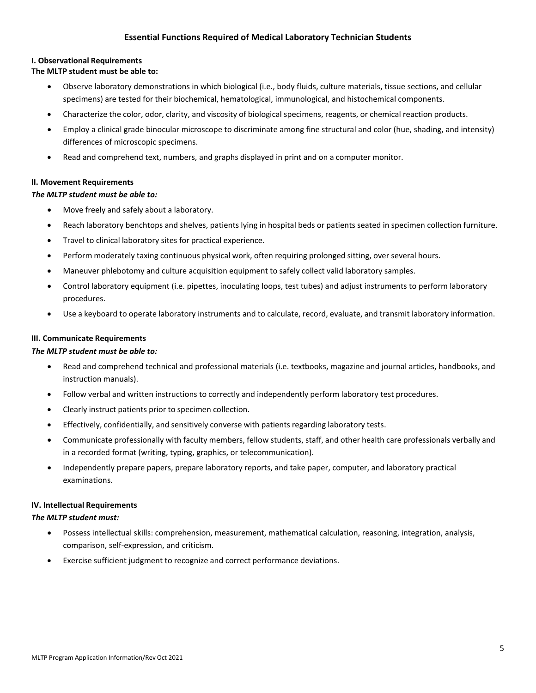### **Essential Functions Required of Medical Laboratory Technician Students**

#### **I. Observational Requirements**

#### **The MLTP student must be able to:**

- Observe laboratory demonstrations in which biological (i.e., body fluids, culture materials, tissue sections, and cellular specimens) are tested for their biochemical, hematological, immunological, and histochemical components.
- Characterize the color, odor, clarity, and viscosity of biological specimens, reagents, or chemical reaction products.
- Employ a clinical grade binocular microscope to discriminate among fine structural and color (hue, shading, and intensity) differences of microscopic specimens.
- Read and comprehend text, numbers, and graphs displayed in print and on a computer monitor.

#### **II. Movement Requirements**

#### *The MLTP student must be able to:*

- Move freely and safely about a laboratory.
- Reach laboratory benchtops and shelves, patients lying in hospital beds or patients seated in specimen collection furniture.
- Travel to clinical laboratory sites for practical experience.
- Perform moderately taxing continuous physical work, often requiring prolonged sitting, over several hours.
- Maneuver phlebotomy and culture acquisition equipment to safely collect valid laboratory samples.
- Control laboratory equipment (i.e. pipettes, inoculating loops, test tubes) and adjust instruments to perform laboratory procedures.
- Use a keyboard to operate laboratory instruments and to calculate, record, evaluate, and transmit laboratory information.

#### **III. Communicate Requirements**

#### *The MLTP student must be able to:*

- Read and comprehend technical and professional materials (i.e. textbooks, magazine and journal articles, handbooks, and instruction manuals).
- Follow verbal and written instructions to correctly and independently perform laboratory test procedures.
- Clearly instruct patients prior to specimen collection.
- Effectively, confidentially, and sensitively converse with patients regarding laboratory tests.
- Communicate professionally with faculty members, fellow students, staff, and other health care professionals verbally and in a recorded format (writing, typing, graphics, or telecommunication).
- Independently prepare papers, prepare laboratory reports, and take paper, computer, and laboratory practical examinations.

#### **IV. Intellectual Requirements**

#### *The MLTP student must:*

- Possess intellectual skills: comprehension, measurement, mathematical calculation, reasoning, integration, analysis, comparison, self‐expression, and criticism.
- Exercise sufficient judgment to recognize and correct performance deviations.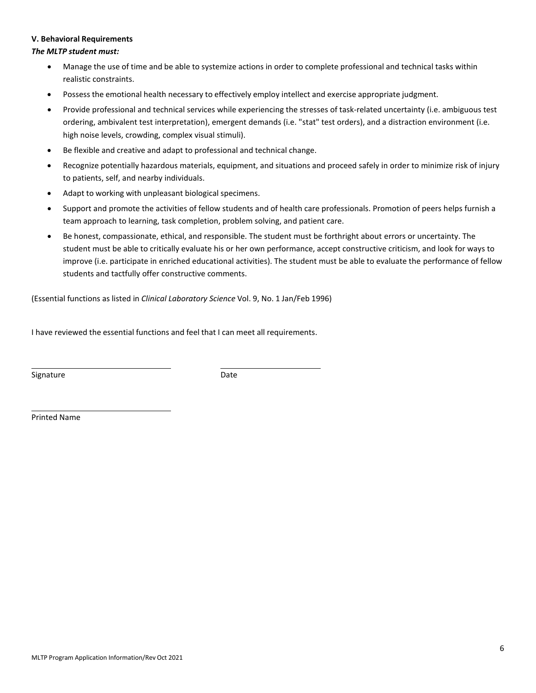#### **V. Behavioral Requirements**

#### *The MLTP student must:*

- Manage the use of time and be able to systemize actions in order to complete professional and technical tasks within realistic constraints.
- Possess the emotional health necessary to effectively employ intellect and exercise appropriate judgment.
- Provide professional and technical services while experiencing the stresses of task‐related uncertainty (i.e. ambiguous test ordering, ambivalent test interpretation), emergent demands (i.e. "stat" test orders), and a distraction environment (i.e. high noise levels, crowding, complex visual stimuli).
- Be flexible and creative and adapt to professional and technical change.
- Recognize potentially hazardous materials, equipment, and situations and proceed safely in order to minimize risk of injury to patients, self, and nearby individuals.
- Adapt to working with unpleasant biological specimens.
- Support and promote the activities of fellow students and of health care professionals. Promotion of peers helps furnish a team approach to learning, task completion, problem solving, and patient care.
- Be honest, compassionate, ethical, and responsible. The student must be forthright about errors or uncertainty. The student must be able to critically evaluate his or her own performance, accept constructive criticism, and look for ways to improve (i.e. participate in enriched educational activities). The student must be able to evaluate the performance of fellow students and tactfully offer constructive comments.

(Essential functions as listed in *Clinical Laboratory Science* Vol. 9, No. 1 Jan/Feb 1996)

I have reviewed the essential functions and feel that I can meet all requirements.

Signature Date

Printed Name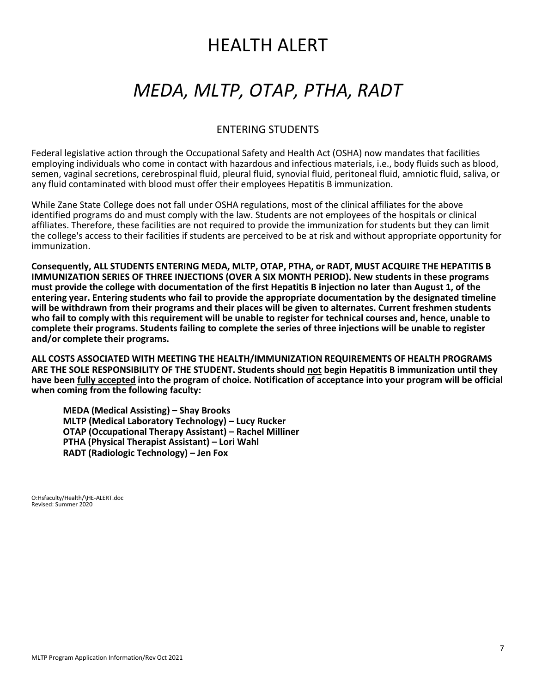# HEALTH ALERT

# *MEDA, MLTP, OTAP, PTHA, RADT*

# ENTERING STUDENTS

Federal legislative action through the Occupational Safety and Health Act (OSHA) now mandates that facilities employing individuals who come in contact with hazardous and infectious materials, i.e., body fluids such as blood, semen, vaginal secretions, cerebrospinal fluid, pleural fluid, synovial fluid, peritoneal fluid, amniotic fluid, saliva, or any fluid contaminated with blood must offer their employees Hepatitis B immunization.

While Zane State College does not fall under OSHA regulations, most of the clinical affiliates for the above identified programs do and must comply with the law. Students are not employees of the hospitals or clinical affiliates. Therefore, these facilities are not required to provide the immunization for students but they can limit the college's access to their facilities if students are perceived to be at risk and without appropriate opportunity for immunization.

**Consequently, ALL STUDENTS ENTERING MEDA, MLTP, OTAP, PTHA, or RADT, MUST ACQUIRE THE HEPATITIS B IMMUNIZATION SERIES OF THREE INJECTIONS (OVER A SIX MONTH PERIOD). New students in these programs must provide the college with documentation of the first Hepatitis B injection no later than August 1, of the entering year. Entering students who fail to provide the appropriate documentation by the designated timeline will be withdrawn from their programs and their places will be given to alternates. Current freshmen students who fail to comply with this requirement will be unable to register for technical courses and, hence, unable to complete their programs. Students failing to complete the series of three injections will be unable to register and/or complete their programs.**

**ALL COSTS ASSOCIATED WITH MEETING THE HEALTH/IMMUNIZATION REQUIREMENTS OF HEALTH PROGRAMS ARE THE SOLE RESPONSIBILITY OF THE STUDENT. Students should not begin Hepatitis B immunization until they have been fully accepted into the program of choice. Notification of acceptance into your program will be official when coming from the following faculty:**

**MEDA (Medical Assisting) – Shay Brooks MLTP (Medical Laboratory Technology) – Lucy Rucker OTAP (Occupational Therapy Assistant) – Rachel Milliner PTHA (Physical Therapist Assistant) – Lori Wahl RADT (Radiologic Technology) – Jen Fox**

O:Hsfaculty/Health/\HE‐ALERT.doc Revised: Summer 2020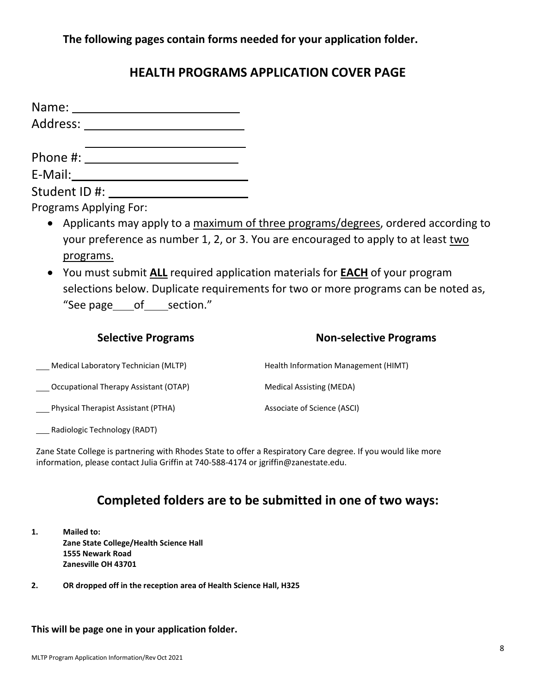**The following pages contain forms needed for your application folder.**

# **HEALTH PROGRAMS APPLICATION COVER PAGE**

| Name:         |  |
|---------------|--|
| Address: ____ |  |
|               |  |
| Phone #:      |  |
| E-Mail:       |  |
| Student ID #: |  |

Programs Applying For:

- Applicants may apply to a maximum of three programs/degrees, ordered according to your preference as number 1, 2, or 3. You are encouraged to apply to at least two programs.
- You must submit **ALL** required application materials for **EACH** of your program selections below. Duplicate requirements for two or more programs can be noted as, "See page of section."

| <b>Selective Programs</b>                    | <b>Non-selective Programs</b>        |
|----------------------------------------------|--------------------------------------|
| Medical Laboratory Technician (MLTP)         | Health Information Management (HIMT) |
| <b>Occupational Therapy Assistant (OTAP)</b> | <b>Medical Assisting (MEDA)</b>      |
| Physical Therapist Assistant (PTHA)          | Associate of Science (ASCI)          |

Radiologic Technology (RADT)

Zane State College is partnering with Rhodes State to offer a Respiratory Care degree. If you would like more information, please contact Julia Griffin at 740‐588‐4174 or [jgriffin@zanestate.edu.](mailto:jgriffin@zanestate.edu)

# **Completed folders are to be submitted in one of two ways:**

- **1. Mailed to: Zane State College/Health Science Hall 1555 Newark Road Zanesville OH 43701**
- **2. OR dropped off in the reception area of Health Science Hall, H325**

## **This will be page one in your application folder.**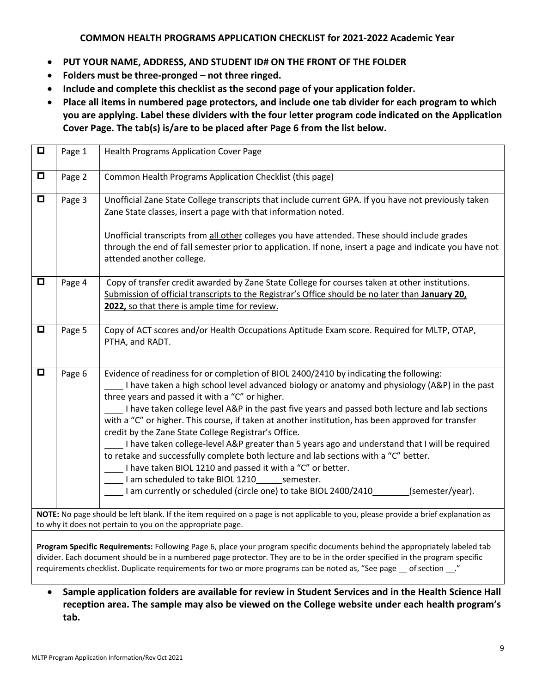## **COMMON HEALTH PROGRAMS APPLICATION CHECKLIST for 2021‐2022 Academic Year**

- **PUT YOUR NAME, ADDRESS, AND STUDENT ID# ON THE FRONT OF THE FOLDER**
- **Folders must be three‐pronged – not three ringed.**
- **Include and complete this checklist as the second page of your application folder.**
- **Place all items in numbered page protectors, and include one tab divider for each program to which you are applying. Label these dividers with the four letter program code indicated on the Application Cover Page. The tab(s) is/are to be placed after Page 6 from the list below.**

| $\Box$ | Page 1 | <b>Health Programs Application Cover Page</b>                                                                                                                                                                                                                                                                                                                                                                                                                                                                                                                                                                                                                                                                                                                                                                                                                                                                   |
|--------|--------|-----------------------------------------------------------------------------------------------------------------------------------------------------------------------------------------------------------------------------------------------------------------------------------------------------------------------------------------------------------------------------------------------------------------------------------------------------------------------------------------------------------------------------------------------------------------------------------------------------------------------------------------------------------------------------------------------------------------------------------------------------------------------------------------------------------------------------------------------------------------------------------------------------------------|
| $\Box$ | Page 2 | Common Health Programs Application Checklist (this page)                                                                                                                                                                                                                                                                                                                                                                                                                                                                                                                                                                                                                                                                                                                                                                                                                                                        |
| $\Box$ | Page 3 | Unofficial Zane State College transcripts that include current GPA. If you have not previously taken<br>Zane State classes, insert a page with that information noted.                                                                                                                                                                                                                                                                                                                                                                                                                                                                                                                                                                                                                                                                                                                                          |
|        |        | Unofficial transcripts from all other colleges you have attended. These should include grades<br>through the end of fall semester prior to application. If none, insert a page and indicate you have not<br>attended another college.                                                                                                                                                                                                                                                                                                                                                                                                                                                                                                                                                                                                                                                                           |
| $\Box$ | Page 4 | Copy of transfer credit awarded by Zane State College for courses taken at other institutions.<br>Submission of official transcripts to the Registrar's Office should be no later than January 20,<br>2022, so that there is ample time for review.                                                                                                                                                                                                                                                                                                                                                                                                                                                                                                                                                                                                                                                             |
| $\Box$ | Page 5 | Copy of ACT scores and/or Health Occupations Aptitude Exam score. Required for MLTP, OTAP,<br>PTHA, and RADT.                                                                                                                                                                                                                                                                                                                                                                                                                                                                                                                                                                                                                                                                                                                                                                                                   |
| $\Box$ | Page 6 | Evidence of readiness for or completion of BIOL 2400/2410 by indicating the following:<br>I have taken a high school level advanced biology or anatomy and physiology (A&P) in the past<br>three years and passed it with a "C" or higher.<br>I have taken college level A&P in the past five years and passed both lecture and lab sections<br>with a "C" or higher. This course, if taken at another institution, has been approved for transfer<br>credit by the Zane State College Registrar's Office.<br>I have taken college-level A&P greater than 5 years ago and understand that I will be required<br>to retake and successfully complete both lecture and lab sections with a "C" better.<br>I have taken BIOL 1210 and passed it with a "C" or better.<br>I am scheduled to take BIOL 1210________ semester.<br>(semester/year).<br>I am currently or scheduled (circle one) to take BIOL 2400/2410 |
|        |        | NOTE: No page should be left blank. If the item required on a page is not applicable to you, please provide a brief explanation as<br>to why it does not pertain to you on the appropriate page.<br>Program Specific Requirements: Following Page 6, place your program specific documents behind the appropriately labeled tab<br>divider. Each document should be in a numbered page protector. They are to be in the order specified in the program specific<br>requirements checklist. Duplicate requirements for two or more programs can be noted as, "See page _ of section __."                                                                                                                                                                                                                                                                                                                         |

• **Sample application folders are available for review in Student Services and in the Health Science Hall reception area. The sample may also be viewed on the College website under each health program's tab.**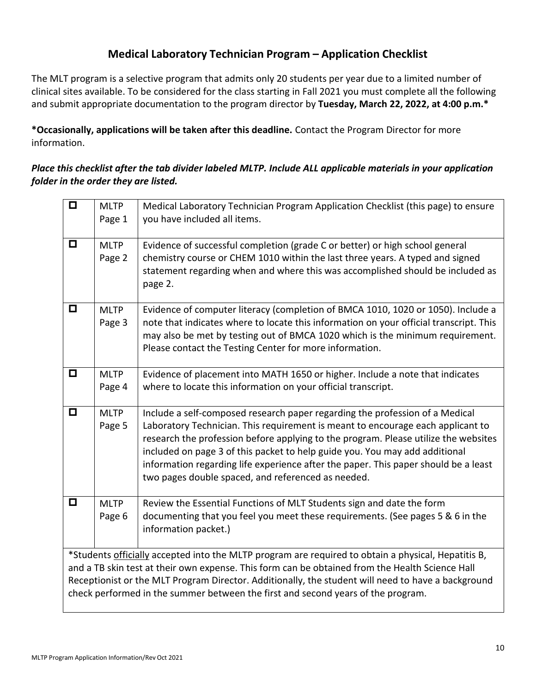# **Medical Laboratory Technician Program – Application Checklist**

The MLT program is a selective program that admits only 20 students per year due to a limited number of clinical sites available. To be considered for the class starting in Fall 2021 you must complete all the following and submit appropriate documentation to the program director by **Tuesday, March 22, 2022, at 4:00 p.m.\***

**\*Occasionally, applications will be taken after this deadline.** Contact the Program Director for more information.

## *Place this checklist after the tab divider labeled MLTP. Include ALL applicable materials in your application folder in the order they are listed.*

| $\overline{\blacksquare}$ | <b>MLTP</b><br>Page 1 | Medical Laboratory Technician Program Application Checklist (this page) to ensure<br>you have included all items.                                                                                                                                                                                                                                                                                                                                                                  |
|---------------------------|-----------------------|------------------------------------------------------------------------------------------------------------------------------------------------------------------------------------------------------------------------------------------------------------------------------------------------------------------------------------------------------------------------------------------------------------------------------------------------------------------------------------|
|                           |                       |                                                                                                                                                                                                                                                                                                                                                                                                                                                                                    |
| $\Box$                    | <b>MLTP</b><br>Page 2 | Evidence of successful completion (grade C or better) or high school general<br>chemistry course or CHEM 1010 within the last three years. A typed and signed<br>statement regarding when and where this was accomplished should be included as<br>page 2.                                                                                                                                                                                                                         |
| $\Box$                    | <b>MLTP</b><br>Page 3 | Evidence of computer literacy (completion of BMCA 1010, 1020 or 1050). Include a<br>note that indicates where to locate this information on your official transcript. This<br>may also be met by testing out of BMCA 1020 which is the minimum requirement.<br>Please contact the Testing Center for more information.                                                                                                                                                             |
| $\Box$                    | <b>MLTP</b><br>Page 4 | Evidence of placement into MATH 1650 or higher. Include a note that indicates<br>where to locate this information on your official transcript.                                                                                                                                                                                                                                                                                                                                     |
| $\Box$                    | <b>MLTP</b><br>Page 5 | Include a self-composed research paper regarding the profession of a Medical<br>Laboratory Technician. This requirement is meant to encourage each applicant to<br>research the profession before applying to the program. Please utilize the websites<br>included on page 3 of this packet to help guide you. You may add additional<br>information regarding life experience after the paper. This paper should be a least<br>two pages double spaced, and referenced as needed. |
| $\Box$                    | <b>MLTP</b><br>Page 6 | Review the Essential Functions of MLT Students sign and date the form<br>documenting that you feel you meet these requirements. (See pages 5 & 6 in the<br>information packet.)                                                                                                                                                                                                                                                                                                    |
|                           |                       | *Students officially accepted into the MLTP program are required to obtain a physical, Hepatitis B,<br>and a TB skin test at their own expense. This form can be obtained from the Health Science Hall<br>Receptionist or the MLT Program Director. Additionally, the student will need to have a background<br>check performed in the summer between the first and second years of the program.                                                                                   |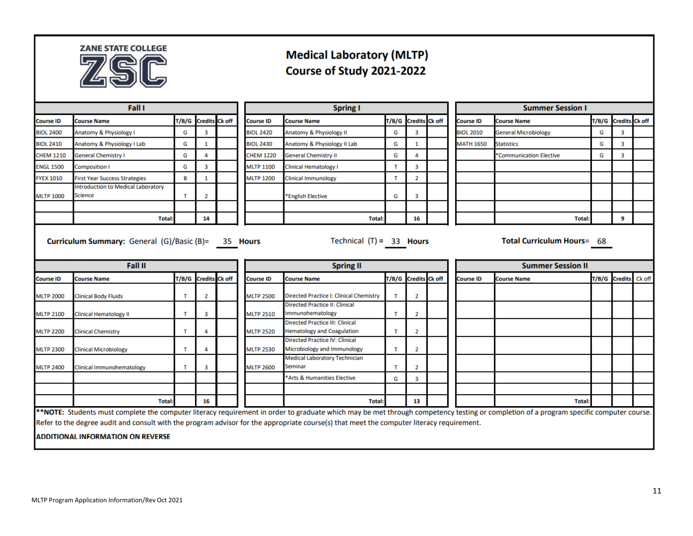

# **Medical Laboratory (MLTP)** Course of Study 2021-2022

|                  | <b>Fall I</b>                                                                                                                                                                                                                                                                                                                                                                   |       |                       |                  |                  | <b>Spring I</b>                                                             |              |                       | <b>Summer Session I</b>  |                  |                               |   |                      |        |
|------------------|---------------------------------------------------------------------------------------------------------------------------------------------------------------------------------------------------------------------------------------------------------------------------------------------------------------------------------------------------------------------------------|-------|-----------------------|------------------|------------------|-----------------------------------------------------------------------------|--------------|-----------------------|--------------------------|------------------|-------------------------------|---|----------------------|--------|
| Course ID        | <b>Course Name</b>                                                                                                                                                                                                                                                                                                                                                              | T/B/G | <b>Credits Ck off</b> |                  | <b>Course ID</b> | <b>Course Name</b>                                                          | T/B/G        | <b>Credits Ck off</b> |                          | <b>Course ID</b> | <b>Course Name</b>            |   | T/B/G Credits Ck off |        |
| <b>BIOL 2400</b> | Anatomy & Physiology I                                                                                                                                                                                                                                                                                                                                                          | G     | 3                     |                  | <b>BIOL 2420</b> | Anatomy & Physiology II                                                     | G            | 3                     |                          | <b>BIOL 2010</b> | <b>General Microbiology</b>   | G | 3                    |        |
| <b>BIOL 2410</b> | Anatomy & Physiology I Lab                                                                                                                                                                                                                                                                                                                                                      | G     | 1                     |                  | <b>BIOL 2430</b> | Anatomy & Physiology II Lab                                                 | G            | 1                     |                          | <b>MATH 1650</b> | <b>Statistics</b>             | G | 3                    |        |
| <b>CHEM 1210</b> | <b>General Chemistry I</b>                                                                                                                                                                                                                                                                                                                                                      | G     | 4                     |                  | <b>CHEM 1220</b> | <b>General Chemistry II</b>                                                 | G            | 4                     |                          |                  | <b>Communication Elective</b> | G | 3                    |        |
| <b>ENGL 1500</b> | <b>Composition I</b>                                                                                                                                                                                                                                                                                                                                                            | G     | з                     |                  | <b>MLTP 1100</b> | <b>Clinical Hematology I</b>                                                | т            | з                     |                          |                  |                               |   |                      |        |
| <b>FYEX 1010</b> | <b>First Year Success Strategies</b>                                                                                                                                                                                                                                                                                                                                            | В     | 1                     |                  | <b>MLTP 1200</b> | <b>Clinical Immunology</b>                                                  | T            | 2                     |                          |                  |                               |   |                      |        |
| <b>MLTP 1000</b> | Introduction to Medical Laboratory<br><b>Science</b>                                                                                                                                                                                                                                                                                                                            | т     | 2                     |                  |                  | *English Elective                                                           | G            | 3                     |                          |                  |                               |   |                      |        |
|                  | <b>Total</b>                                                                                                                                                                                                                                                                                                                                                                    |       | 14                    |                  |                  | <b>Total</b>                                                                |              | 16                    |                          |                  | <b>Total:</b>                 |   | 9                    |        |
| <b>Fall II</b>   |                                                                                                                                                                                                                                                                                                                                                                                 |       |                       | <b>Spring II</b> |                  |                                                                             |              |                       | <b>Summer Session II</b> |                  |                               |   |                      |        |
| <b>Course ID</b> | <b>Course Name</b>                                                                                                                                                                                                                                                                                                                                                              | T/B/G | <b>Credits Ck off</b> |                  | <b>Course ID</b> | <b>Course Name</b>                                                          | T/B/G        | <b>Credits</b> Ck off |                          | <b>Course ID</b> | <b>Course Name</b>            |   | T/B/G Credits        | Ck off |
| <b>MLTP 2000</b> | <b>Clinical Body Fluids</b>                                                                                                                                                                                                                                                                                                                                                     | т     | 2                     |                  | <b>MLTP 2500</b> | Directed Practice I: Clinical Chemistry                                     | T            | $\overline{2}$        |                          |                  |                               |   |                      |        |
| <b>MLTP 2100</b> | <b>Clinical Hematology II</b>                                                                                                                                                                                                                                                                                                                                                   | т     | з                     |                  | <b>MLTP 2510</b> | <b>Directed Practice II: Clinical</b><br>Immunohematology                   | т            | 2                     |                          |                  |                               |   |                      |        |
| <b>MLTP 2200</b> | <b>Clinical Chemistry</b>                                                                                                                                                                                                                                                                                                                                                       | т     | 4                     |                  | <b>MLTP 2520</b> | <b>Directed Practice III: Clinical</b><br><b>Hematology and Coagulation</b> | т            | 2                     |                          |                  |                               |   |                      |        |
| <b>MLTP 2300</b> | <b>Clinical Microbiology</b>                                                                                                                                                                                                                                                                                                                                                    | т     | 4                     |                  | <b>MLTP 2530</b> | <b>Directed Practice IV: Clinical</b><br>Microbiology and Immunology        | т            | 2                     |                          |                  |                               |   |                      |        |
| <b>MLTP 2400</b> | Clinical Immunohematology                                                                                                                                                                                                                                                                                                                                                       | т     | 3                     |                  | <b>MLTP 2600</b> | <b>Medical Laboratory Technician</b><br>Seminar                             | $\mathsf{T}$ | 2                     |                          |                  |                               |   |                      |        |
|                  |                                                                                                                                                                                                                                                                                                                                                                                 |       |                       |                  |                  | Arts & Humanities Elective                                                  | G            | 3                     |                          |                  |                               |   |                      |        |
|                  |                                                                                                                                                                                                                                                                                                                                                                                 |       |                       |                  |                  |                                                                             |              |                       |                          |                  |                               |   |                      |        |
|                  | <b>Total</b>                                                                                                                                                                                                                                                                                                                                                                    |       | 16                    |                  |                  | <b>Total:</b>                                                               |              | 13                    |                          |                  | <b>Total:</b>                 |   |                      |        |
|                  | **NOTE: Students must complete the computer literacy requirement in order to graduate which may be met through competency testing or completion of a program specific computer course.<br>Refer to the degree audit and consult with the program advisor for the appropriate course(s) that meet the computer literacy requirement.<br><b>ADDITIONAL INFORMATION ON REVERSE</b> |       |                       |                  |                  |                                                                             |              |                       |                          |                  |                               |   |                      |        |